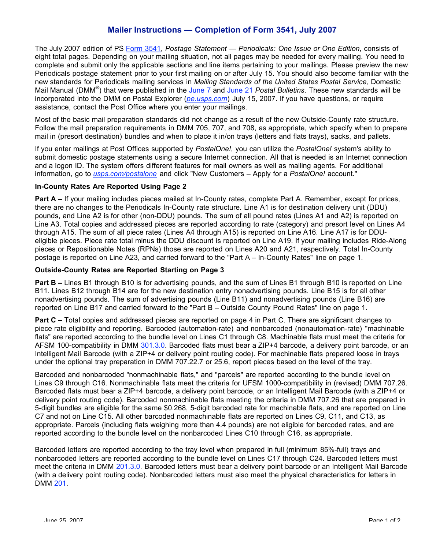# **Mailer Instructions — Completion of Form 3541, July 2007**

The July 2007 edition of PS Form 3541, *Postage Statement — Periodicals: One Issue or One Edition*, consists of eight total pages. Depending on your mailing situation, not all pages may be needed for every mailing. You need to complete and submit only the applicable sections and line items pertaining to your mailings. Please preview the new Periodicals postage statement prior to your first mailing on or after July 15. You should also become familiar with the new standards for Periodicals mailing services in *Mailing Standards of the United States Postal Service,* Domestic Mail Manual (DMM®) that were published in the June 7 and June 21 *Postal Bulletins*. These new standards will be incorporated into the DMM on Postal Explorer (*pe.usps.com*) July 15, 2007. If you have questions, or require assistance, contact the Post Office where you enter your mailings.

Most of the basic mail preparation standards did not change as a result of the new Outside-County rate structure. Follow the mail preparation requirements in DMM 705, 707, and 708, as appropriate, which specify when to prepare mail in (presort destination) bundles and when to place it in/on trays (letters and flats trays), sacks, and pallets.

If you enter mailings at Post Offices supported by *PostalOne!*, you can utilize the *PostalOne!* system's ability to submit domestic postage statements using a secure Internet connection. All that is needed is an Internet connection and a logon ID. The system offers different features for mail owners as well as mailing agents. For additional information, go to *usps.com/postalone* and click "New Customers – Apply for a *PostalOne!* account."

### **In-County Rates Are Reported Using Page 2**

**Part A** – If your mailing includes pieces mailed at In-County rates, complete Part A. Remember, except for prices, there are no changes to the Periodicals In-County rate structure. Line A1 is for destination delivery unit (DDU) pounds, and Line A2 is for other (non-DDU) pounds. The sum of all pound rates (Lines A1 and A2) is reported on Line A3. Total copies and addressed pieces are reported according to rate (category) and presort level on Lines A4 through A15. The sum of all piece rates (Lines A4 through A15) is reported on Line A16. Line A17 is for DDUeligible pieces. Piece rate total minus the DDU discount is reported on Line A19. If your mailing includes Ride-Along pieces or Repositionable Notes (RPNs) those are reported on Lines A20 and A21, respectively. Total In-County postage is reported on Line A23, and carried forward to the "Part A – In-County Rates" line on page 1.

### **Outside-County Rates are Reported Starting on Page 3**

**Part B –** Lines B1 through B10 is for advertising pounds, and the sum of Lines B1 through B10 is reported on Line B11. Lines B12 through B14 are for the new destination entry nonadvertising pounds. Line B15 is for all other nonadvertising pounds. The sum of advertising pounds (Line B11) and nonadvertising pounds (Line B16) are reported on Line B17 and carried forward to the "Part B – Outside County Pound Rates" line on page 1.

**Part C** – Total copies and addressed pieces are reported on page 4 in Part C. There are significant changes to piece rate eligibility and reporting. Barcoded (automation-rate) and nonbarcoded (nonautomation-rate) "machinable flats" are reported according to the bundle level on Lines C1 through C8. Machinable flats must meet the criteria for AFSM 100-compatibility in DMM 301.3.0. Barcoded flats must bear a ZIP+4 barcode, a delivery point barcode, or an Intelligent Mail Barcode (with a ZIP+4 or delivery point routing code). For machinable flats prepared loose in trays under the optional tray preparation in DMM 707.22.7 or 25.6, report pieces based on the level of the tray.

Barcoded and nonbarcoded "nonmachinable flats," and "parcels" are reported according to the bundle level on Lines C9 through C16. Nonmachinable flats meet the criteria for UFSM 1000-compatibility in (revised) DMM 707.26. Barcoded flats must bear a ZIP+4 barcode, a delivery point barcode, or an Intelligent Mail Barcode (with a ZIP+4 or delivery point routing code). Barcoded nonmachinable flats meeting the criteria in DMM 707.26 that are prepared in 5-digit bundles are eligible for the same \$0.268, 5-digit barcoded rate for machinable flats, and are reported on Line C7 and not on Line C15. All other barcoded nonmachinable flats are reported on Lines C9, C11, and C13, as appropriate. Parcels (including flats weighing more than 4.4 pounds) are not eligible for barcoded rates, and are reported according to the bundle level on the nonbarcoded Lines C10 through C16, as appropriate.

Barcoded letters are reported according to the tray level when prepared in full (minimum 85%-full) trays and nonbarcoded letters are reported according to the bundle level on Lines C17 through C24. Barcoded letters must meet the criteria in DMM 201.3.0. Barcoded letters must bear a delivery point barcode or an Intelligent Mail Barcode (with a delivery point routing code). Nonbarcoded letters must also meet the physical characteristics for letters in DMM 201.